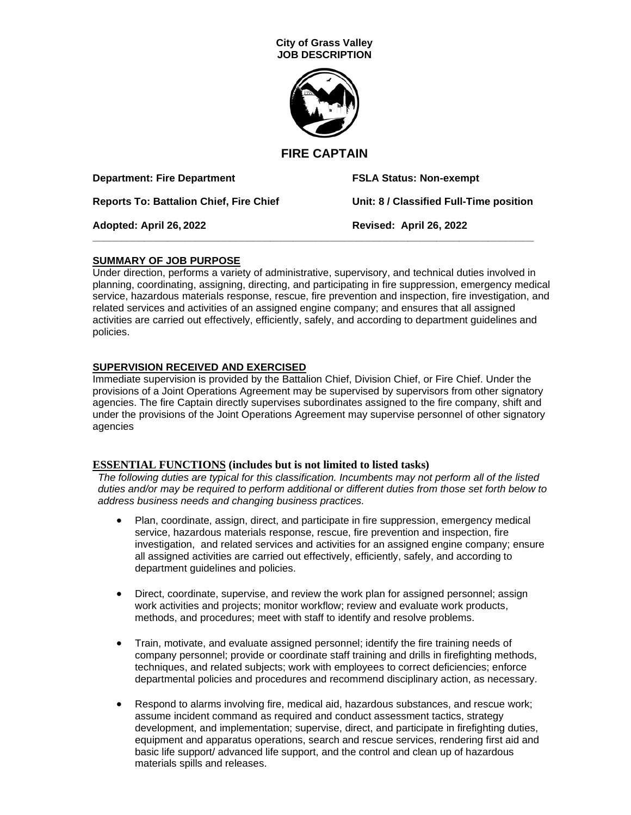

# **FIRE CAPTAIN**

| <b>Department: Fire Department</b>      | <b>FSLA Status: Non-exempt</b>          |
|-----------------------------------------|-----------------------------------------|
| Reports To: Battalion Chief, Fire Chief | Unit: 8 / Classified Full-Time position |
| Adopted: April 26, 2022                 | Revised: April 26, 2022                 |
|                                         |                                         |

## **SUMMARY OF JOB PURPOSE**

Under direction, performs a variety of administrative, supervisory, and technical duties involved in planning, coordinating, assigning, directing, and participating in fire suppression, emergency medical service, hazardous materials response, rescue, fire prevention and inspection, fire investigation, and related services and activities of an assigned engine company; and ensures that all assigned activities are carried out effectively, efficiently, safely, and according to department guidelines and policies.

## **SUPERVISION RECEIVED AND EXERCISED**

Immediate supervision is provided by the Battalion Chief, Division Chief, or Fire Chief. Under the provisions of a Joint Operations Agreement may be supervised by supervisors from other signatory agencies. The fire Captain directly supervises subordinates assigned to the fire company, shift and under the provisions of the Joint Operations Agreement may supervise personnel of other signatory agencies

## **ESSENTIAL FUNCTIONS (includes but is not limited to listed tasks)**

*The following duties are typical for this classification. Incumbents may not perform all of the listed duties and/or may be required to perform additional or different duties from those set forth below to address business needs and changing business practices.*

- Plan, coordinate, assign, direct, and participate in fire suppression, emergency medical service, hazardous materials response, rescue, fire prevention and inspection, fire investigation, and related services and activities for an assigned engine company; ensure all assigned activities are carried out effectively, efficiently, safely, and according to department guidelines and policies.
- Direct, coordinate, supervise, and review the work plan for assigned personnel; assign work activities and projects; monitor workflow; review and evaluate work products, methods, and procedures; meet with staff to identify and resolve problems.
- Train, motivate, and evaluate assigned personnel; identify the fire training needs of company personnel; provide or coordinate staff training and drills in firefighting methods, techniques, and related subjects; work with employees to correct deficiencies; enforce departmental policies and procedures and recommend disciplinary action, as necessary.
- Respond to alarms involving fire, medical aid, hazardous substances, and rescue work; assume incident command as required and conduct assessment tactics, strategy development, and implementation; supervise, direct, and participate in firefighting duties, equipment and apparatus operations, search and rescue services, rendering first aid and basic life support/ advanced life support, and the control and clean up of hazardous materials spills and releases.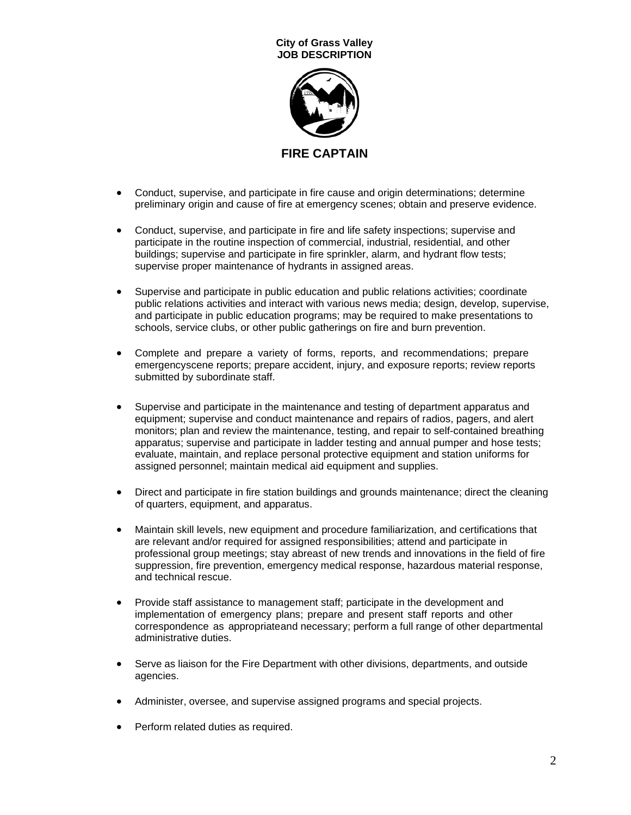

- Conduct, supervise, and participate in fire cause and origin determinations; determine preliminary origin and cause of fire at emergency scenes; obtain and preserve evidence.
- Conduct, supervise, and participate in fire and life safety inspections; supervise and participate in the routine inspection of commercial, industrial, residential, and other buildings; supervise and participate in fire sprinkler, alarm, and hydrant flow tests; supervise proper maintenance of hydrants in assigned areas.
- Supervise and participate in public education and public relations activities; coordinate public relations activities and interact with various news media; design, develop, supervise, and participate in public education programs; may be required to make presentations to schools, service clubs, or other public gatherings on fire and burn prevention.
- Complete and prepare a variety of forms, reports, and recommendations; prepare emergencyscene reports; prepare accident, injury, and exposure reports; review reports submitted by subordinate staff.
- Supervise and participate in the maintenance and testing of department apparatus and equipment; supervise and conduct maintenance and repairs of radios, pagers, and alert monitors; plan and review the maintenance, testing, and repair to self-contained breathing apparatus; supervise and participate in ladder testing and annual pumper and hose tests; evaluate, maintain, and replace personal protective equipment and station uniforms for assigned personnel; maintain medical aid equipment and supplies.
- Direct and participate in fire station buildings and grounds maintenance; direct the cleaning of quarters, equipment, and apparatus.
- Maintain skill levels, new equipment and procedure familiarization, and certifications that are relevant and/or required for assigned responsibilities; attend and participate in professional group meetings; stay abreast of new trends and innovations in the field of fire suppression, fire prevention, emergency medical response, hazardous material response, and technical rescue.
- Provide staff assistance to management staff; participate in the development and implementation of emergency plans; prepare and present staff reports and other correspondence as appropriateand necessary; perform a full range of other departmental administrative duties.
- Serve as liaison for the Fire Department with other divisions, departments, and outside agencies.
- Administer, oversee, and supervise assigned programs and special projects.
- Perform related duties as required.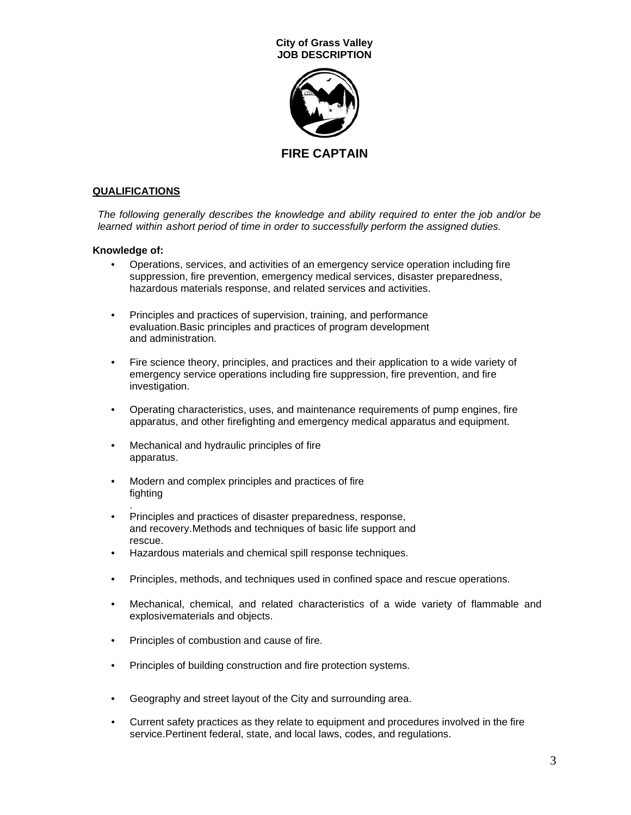

### **QUALIFICATIONS**

*The following generally describes the knowledge and ability required to enter the job and/or be learned within ashort period of time in order to successfully perform the assigned duties.*

#### **Knowledge of:**

- Operations, services, and activities of an emergency service operation including fire suppression, fire prevention, emergency medical services, disaster preparedness, hazardous materials response, and related services and activities.
- Principles and practices of supervision, training, and performance evaluation.Basic principles and practices of program development and administration.
- Fire science theory, principles, and practices and their application to a wide variety of emergency service operations including fire suppression, fire prevention, and fire investigation.
- Operating characteristics, uses, and maintenance requirements of pump engines, fire apparatus, and other firefighting and emergency medical apparatus and equipment.
- Mechanical and hydraulic principles of fire apparatus.
- Modern and complex principles and practices of fire fighting
- . • Principles and practices of disaster preparedness, response, and recovery.Methods and techniques of basic life support and rescue.
- Hazardous materials and chemical spill response techniques.
- Principles, methods, and techniques used in confined space and rescue operations.
- Mechanical, chemical, and related characteristics of a wide variety of flammable and explosivematerials and objects.
- Principles of combustion and cause of fire.
- Principles of building construction and fire protection systems.
- Geography and street layout of the City and surrounding area.
- Current safety practices as they relate to equipment and procedures involved in the fire service.Pertinent federal, state, and local laws, codes, and regulations.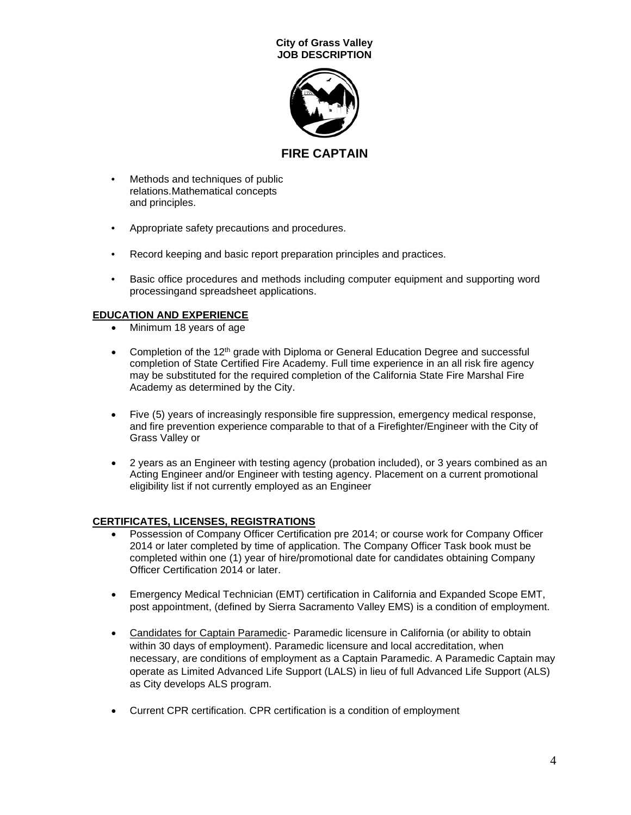

**FIRE CAPTAIN**

- Methods and techniques of public relations.Mathematical concepts and principles.
- Appropriate safety precautions and procedures.
- Record keeping and basic report preparation principles and practices.
- Basic office procedures and methods including computer equipment and supporting word processingand spreadsheet applications.

## **EDUCATION AND EXPERIENCE**

- Minimum 18 years of age
- Completion of the  $12<sup>th</sup>$  grade with Diploma or General Education Degree and successful completion of State Certified Fire Academy. Full time experience in an all risk fire agency may be substituted for the required completion of the California State Fire Marshal Fire Academy as determined by the City.
- Five (5) years of increasingly responsible fire suppression, emergency medical response, and fire prevention experience comparable to that of a Firefighter/Engineer with the City of Grass Valley or
- 2 years as an Engineer with testing agency (probation included), or 3 years combined as an Acting Engineer and/or Engineer with testing agency. Placement on a current promotional eligibility list if not currently employed as an Engineer

## **CERTIFICATES, LICENSES, REGISTRATIONS**

- Possession of Company Officer Certification pre 2014; or course work for Company Officer 2014 or later completed by time of application. The Company Officer Task book must be completed within one (1) year of hire/promotional date for candidates obtaining Company Officer Certification 2014 or later.
- Emergency Medical Technician (EMT) certification in California and Expanded Scope EMT, post appointment, (defined by Sierra Sacramento Valley EMS) is a condition of employment.
- Candidates for Captain Paramedic- Paramedic licensure in California (or ability to obtain within 30 days of employment). Paramedic licensure and local accreditation, when necessary, are conditions of employment as a Captain Paramedic. A Paramedic Captain may operate as Limited Advanced Life Support (LALS) in lieu of full Advanced Life Support (ALS) as City develops ALS program.
- Current CPR certification. CPR certification is a condition of employment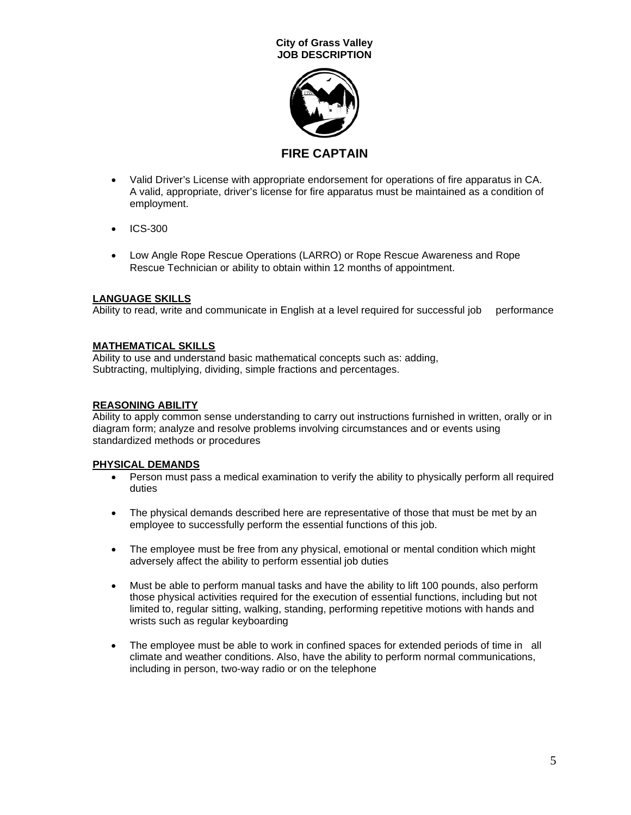

**FIRE CAPTAIN**

- Valid Driver's License with appropriate endorsement for operations of fire apparatus in CA. A valid, appropriate, driver's license for fire apparatus must be maintained as a condition of employment.
- ICS-300
- Low Angle Rope Rescue Operations (LARRO) or Rope Rescue Awareness and Rope Rescue Technician or ability to obtain within 12 months of appointment.

# **LANGUAGE SKILLS**

Ability to read, write and communicate in English at a level required for successful job performance

# **MATHEMATICAL SKILLS**

Ability to use and understand basic mathematical concepts such as: adding, Subtracting, multiplying, dividing, simple fractions and percentages.

# **REASONING ABILITY**

Ability to apply common sense understanding to carry out instructions furnished in written, orally or in diagram form; analyze and resolve problems involving circumstances and or events using standardized methods or procedures

## **PHYSICAL DEMANDS**

- Person must pass a medical examination to verify the ability to physically perform all required duties
- The physical demands described here are representative of those that must be met by an employee to successfully perform the essential functions of this job.
- The employee must be free from any physical, emotional or mental condition which might adversely affect the ability to perform essential job duties
- Must be able to perform manual tasks and have the ability to lift 100 pounds, also perform those physical activities required for the execution of essential functions, including but not limited to, regular sitting, walking, standing, performing repetitive motions with hands and wrists such as regular keyboarding
- The employee must be able to work in confined spaces for extended periods of time in all climate and weather conditions. Also, have the ability to perform normal communications, including in person, two-way radio or on the telephone